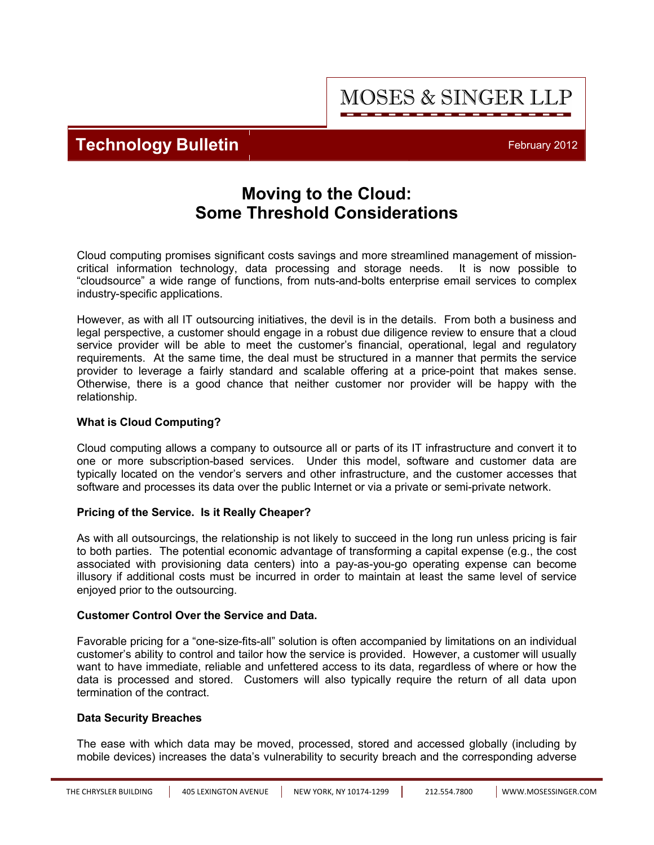**Technology Bulletin February 2012** 

## **Moving to the Cloud: Some Threshold Considerations**

Cloud computing promises significant costs savings and more streamlined management of missioncritical information technology, data processing and storage needs. It is now possible to "cloudsource" a wide range of functions, from nuts-and-bolts enterprise email services to complex industry-specific applications.

However, as with all IT outsourcing initiatives, the devil is in the details. From both a business and legal perspective, a customer should engage in a robust due diligence review to ensure that a cloud service provider will be able to meet the customer's financial, operational, legal and regulatory requirements. At the same time, the deal must be structured in a manner that permits the service provider to leverage a fairly standard and scalable offering at a price-point that makes sense. Otherwise, there is a good chance that neither customer nor provider will be happy with the relationship.

## **What is Cloud Computing?**

Cloud computing allows a company to outsource all or parts of its IT infrastructure and convert it to one or more subscription-based services. Under this model, software and customer data are typically located on the vendor's servers and other infrastructure, and the customer accesses that software and processes its data over the public Internet or via a private or semi-private network.

### **Pricing of the Service. Is it Really Cheaper?**

As with all outsourcings, the relationship is not likely to succeed in the long run unless pricing is fair to both parties. The potential economic advantage of transforming a capital expense (e.g., the cost associated with provisioning data centers) into a pay-as-you-go operating expense can become illusory if additional costs must be incurred in order to maintain at least the same level of service enjoyed prior to the outsourcing.

### **Customer Control Over the Service and Data.**

Favorable pricing for a "one-size-fits-all" solution is often accompanied by limitations on an individual customer's ability to control and tailor how the service is provided. However, a customer will usually want to have immediate, reliable and unfettered access to its data, regardless of where or how the data is processed and stored. Customers will also typically require the return of all data upon termination of the contract.

### **Data Security Breaches**

The ease with which data may be moved, processed, stored and accessed globally (including by mobile devices) increases the data's vulnerability to security breach and the corresponding adverse

**MOSES & SINGER LLP**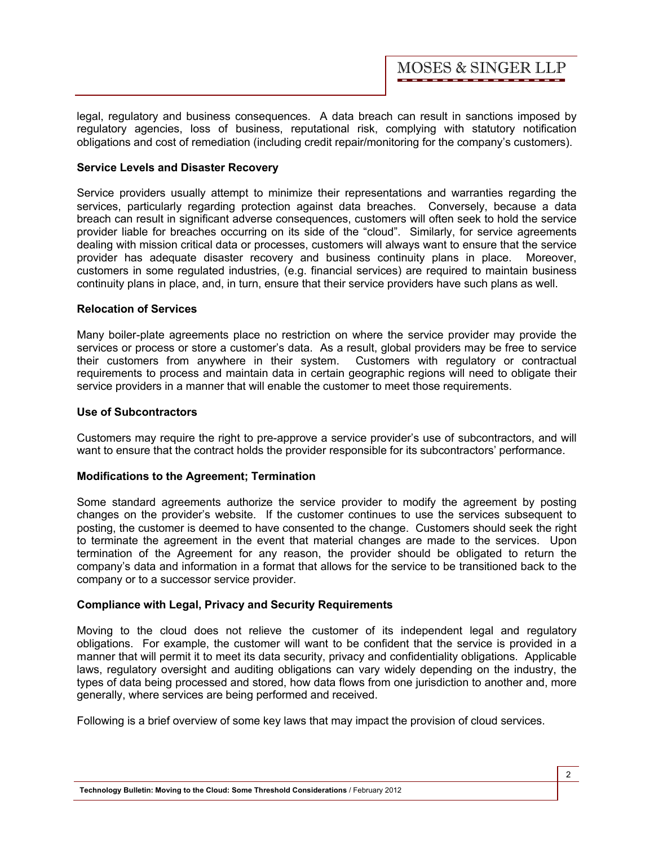legal, regulatory and business consequences. A data breach can result in sanctions imposed by regulatory agencies, loss of business, reputational risk, complying with statutory notification obligations and cost of remediation (including credit repair/monitoring for the company's customers).

#### **Service Levels and Disaster Recovery**

Service providers usually attempt to minimize their representations and warranties regarding the services, particularly regarding protection against data breaches. Conversely, because a data breach can result in significant adverse consequences, customers will often seek to hold the service provider liable for breaches occurring on its side of the "cloud". Similarly, for service agreements dealing with mission critical data or processes, customers will always want to ensure that the service provider has adequate disaster recovery and business continuity plans in place. Moreover, customers in some regulated industries, (e.g. financial services) are required to maintain business continuity plans in place, and, in turn, ensure that their service providers have such plans as well.

#### **Relocation of Services**

Many boiler-plate agreements place no restriction on where the service provider may provide the services or process or store a customer's data. As a result, global providers may be free to service their customers from anywhere in their system. Customers with regulatory or contractual requirements to process and maintain data in certain geographic regions will need to obligate their service providers in a manner that will enable the customer to meet those requirements.

#### **Use of Subcontractors**

Customers may require the right to pre-approve a service provider's use of subcontractors, and will want to ensure that the contract holds the provider responsible for its subcontractors' performance.

#### **Modifications to the Agreement; Termination**

Some standard agreements authorize the service provider to modify the agreement by posting changes on the provider's website. If the customer continues to use the services subsequent to posting, the customer is deemed to have consented to the change. Customers should seek the right to terminate the agreement in the event that material changes are made to the services. Upon termination of the Agreement for any reason, the provider should be obligated to return the company's data and information in a format that allows for the service to be transitioned back to the company or to a successor service provider.

### **Compliance with Legal, Privacy and Security Requirements**

Moving to the cloud does not relieve the customer of its independent legal and regulatory obligations. For example, the customer will want to be confident that the service is provided in a manner that will permit it to meet its data security, privacy and confidentiality obligations. Applicable laws, regulatory oversight and auditing obligations can vary widely depending on the industry, the types of data being processed and stored, how data flows from one jurisdiction to another and, more generally, where services are being performed and received.

Following is a brief overview of some key laws that may impact the provision of cloud services.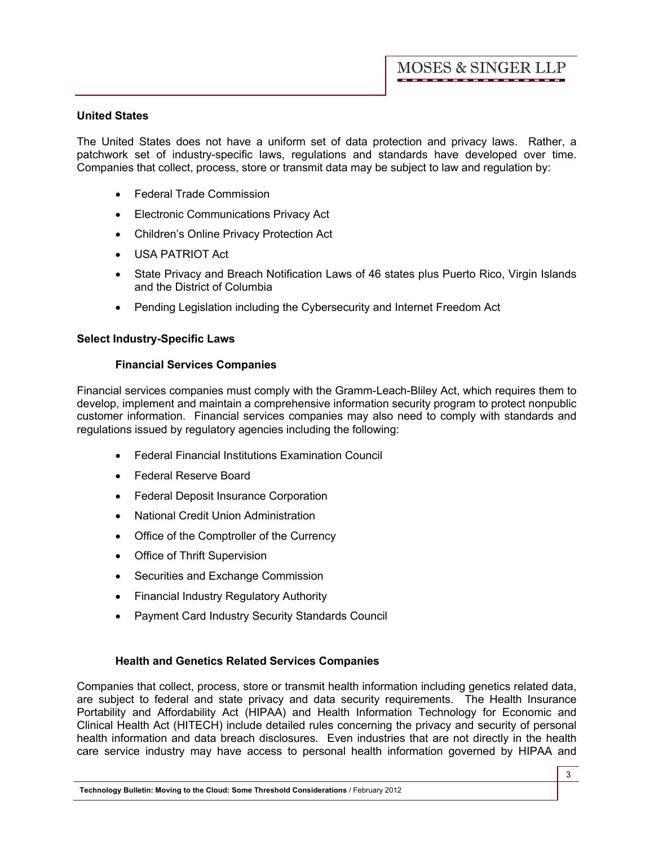#### **United States**

The United States does not have a uniform set of data protection and privacy laws. Rather, a patchwork set of industry-specific laws, regulations and standards have developed over time. Companies that collect, process, store or transmit data may be subject to law and regulation by:

- · Federal Trade Commission
- **Electronic Communications Privacy Act**
- · Children's Online Privacy Protection Act
- · USA PATRIOT Act
- · State Privacy and Breach Notification Laws of 46 states plus Puerto Rico, Virgin Islands and the District of Columbia
- · Pending Legislation including the Cybersecurity and Internet Freedom Act

### **Select Industry-Specific Laws**

#### **Financial Services Companies**

Financial services companies must comply with the Gramm-Leach-Bliley Act, which requires them to develop, implement and maintain a comprehensive information security program to protect nonpublic customer information. Financial services companies may also need to comply with standards and regulations issued by regulatory agencies including the following:

- · Federal Financial Institutions Examination Council
- · Federal Reserve Board
- · Federal Deposit Insurance Corporation
- · National Credit Union Administration
- · Office of the Comptroller of the Currency
- · Office of Thrift Supervision
- · Securities and Exchange Commission
- · Financial Industry Regulatory Authority
- · Payment Card Industry Security Standards Council

### **Health and Genetics Related Services Companies**

Companies that collect, process, store or transmit health information including genetics related data, are subject to federal and state privacy and data security requirements. The Health Insurance Portability and Affordability Act (HIPAA) and Health Information Technology for Economic and Clinical Health Act (HITECH) include detailed rules concerning the privacy and security of personal health information and data breach disclosures. Even industries that are not directly in the health care service industry may have access to personal health information governed by HIPAA and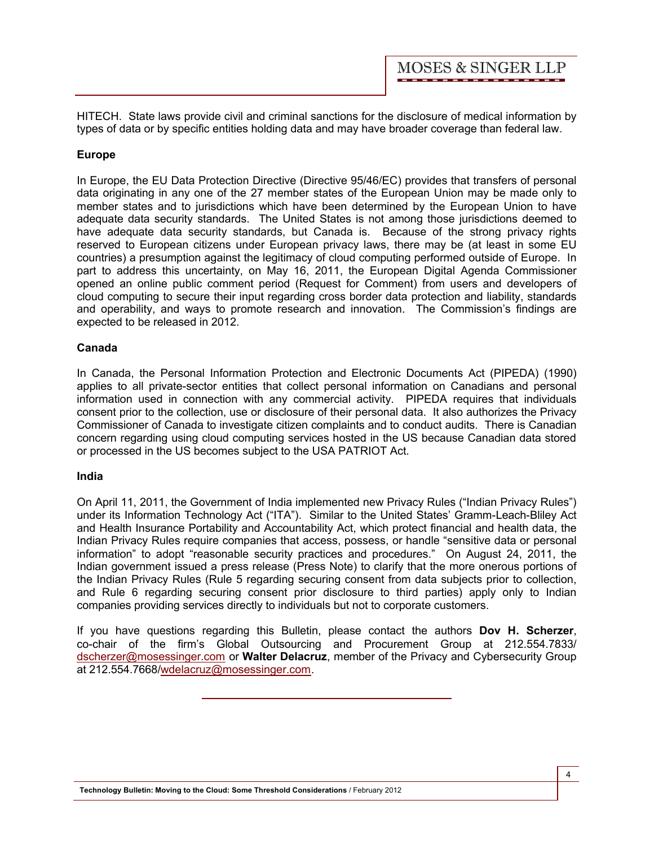HITECH. State laws provide civil and criminal sanctions for the disclosure of medical information by types of data or by specific entities holding data and may have broader coverage than federal law.

#### **Europe**

In Europe, the EU Data Protection Directive (Directive 95/46/EC) provides that transfers of personal data originating in any one of the 27 member states of the European Union may be made only to member states and to jurisdictions which have been determined by the European Union to have adequate data security standards. The United States is not among those jurisdictions deemed to have adequate data security standards, but Canada is. Because of the strong privacy rights reserved to European citizens under European privacy laws, there may be (at least in some EU countries) a presumption against the legitimacy of cloud computing performed outside of Europe. In part to address this uncertainty, on May 16, 2011, the European Digital Agenda Commissioner opened an online public comment period (Request for Comment) from users and developers of cloud computing to secure their input regarding cross border data protection and liability, standards and operability, and ways to promote research and innovation. The Commission's findings are expected to be released in 2012.

#### **Canada**

In Canada, the Personal Information Protection and Electronic Documents Act (PIPEDA) (1990) applies to all private-sector entities that collect personal information on Canadians and personal information used in connection with any commercial activity. PIPEDA requires that individuals consent prior to the collection, use or disclosure of their personal data. It also authorizes the Privacy Commissioner of Canada to investigate citizen complaints and to conduct audits. There is Canadian concern regarding using cloud computing services hosted in the US because Canadian data stored or processed in the US becomes subject to the USA PATRIOT Act.

#### **India**

On April 11, 2011, the Government of India implemented new Privacy Rules ("Indian Privacy Rules") under its Information Technology Act ("ITA"). Similar to the United States' Gramm-Leach-Bliley Act and Health Insurance Portability and Accountability Act, which protect financial and health data, the Indian Privacy Rules require companies that access, possess, or handle "sensitive data or personal information" to adopt "reasonable security practices and procedures." On August 24, 2011, the Indian government issued a press release (Press Note) to clarify that the more onerous portions of the Indian Privacy Rules (Rule 5 regarding securing consent from data subjects prior to collection, and Rule 6 regarding securing consent prior disclosure to third parties) apply only to Indian companies providing services directly to individuals but not to corporate customers.

If you have questions regarding this Bulletin, please contact the authors **[Dov H. Scherzer](http://www.mosessinger.com/personnel/dscherzer/)**, co-chair of the firm's [Global Outsourcing and Procurement Group](http://www.mosessinger.com/global-outsourcing-and-procurement/) at 212.554.7833/ dscherzer@mosessinger.com or **[Walter Delacruz](http://www.mosessinger.com/personnel/wdelacruz/)**, member of the [Privacy and Cybersecurity Group](http://www.mosessinger.com/Privacy_and_Cybersecurity/)  at 212.554.7668/wdelacruz@mosessinger.com.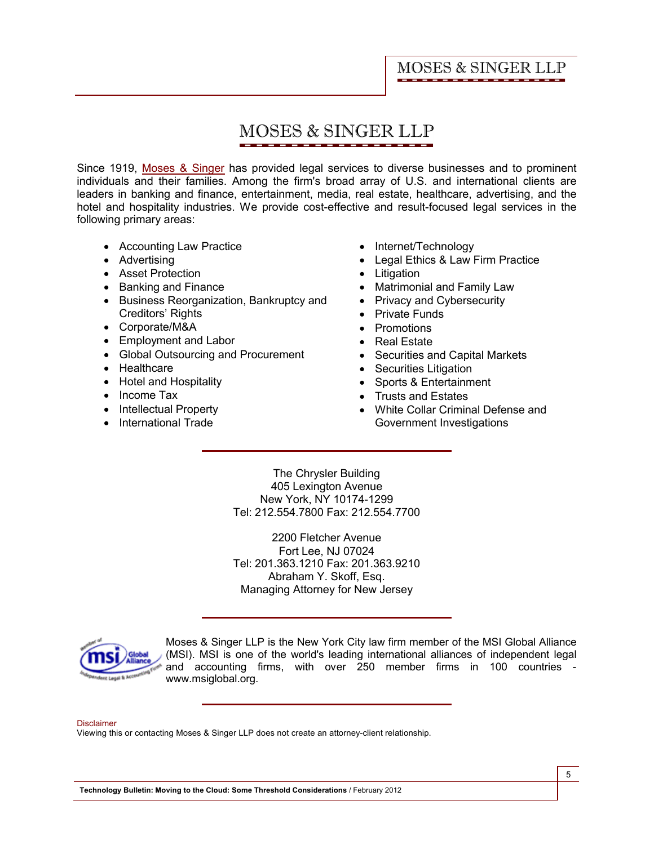# **MOSES & SINGER LLP**

Since 1919, [Moses & Singer](http://www.mosessinger.com/firm_profile/firm_description.php) has provided legal services to diverse businesses and to prominent individuals and their families. Among the firm's broad array of U.S. and international clients are leaders in banking and finance, entertainment, media, real estate, healthcare, advertising, and the hotel and hospitality industries. We provide cost-effective and result-focused legal services in the following primary areas:

- Accounting Law Practice
- · Advertising
- · Asset Protection
- · Banking and Finance
- · Business Reorganization, Bankruptcy and Creditors' Rights
- · Corporate/M&A
- · Employment and Labor
- · Global Outsourcing and Procurement
- · Healthcare
- · Hotel and Hospitality
- Income Tax
- Intellectual Property
- · International Trade
- · Internet/Technology
- · Legal Ethics & Law Firm Practice
- · Litigation
- · Matrimonial and Family Law
- Privacy and Cybersecurity
- · Private Funds
- · Promotions
- · Real Estate
- · Securities and Capital Markets
- · Securities Litigation
- · Sports & Entertainment
- · Trusts and Estates
- · White Collar Criminal Defense and Government Investigations

The Chrysler Building 405 Lexington Avenue New York, NY 10174-1299 Tel: 212.554.7800 Fax: 212.554.7700

2200 Fletcher Avenue Fort Lee, NJ 07024 Tel: 201.363.1210 Fax: 201.363.9210 Abraham Y. Skoff, Esq. Managing Attorney for New Jersey



Moses & Singer LLP is the New York City law firm member of the MSI Global Alliance (MSI). MSI is one of the world's leading international alliances of independent legal and accounting firms, with over 250 member firms in 100 countries <www.msiglobal.org.>

#### Disclaimer

Viewing this or contacting Moses & Singer LLP does not create an attorney-client relationship.